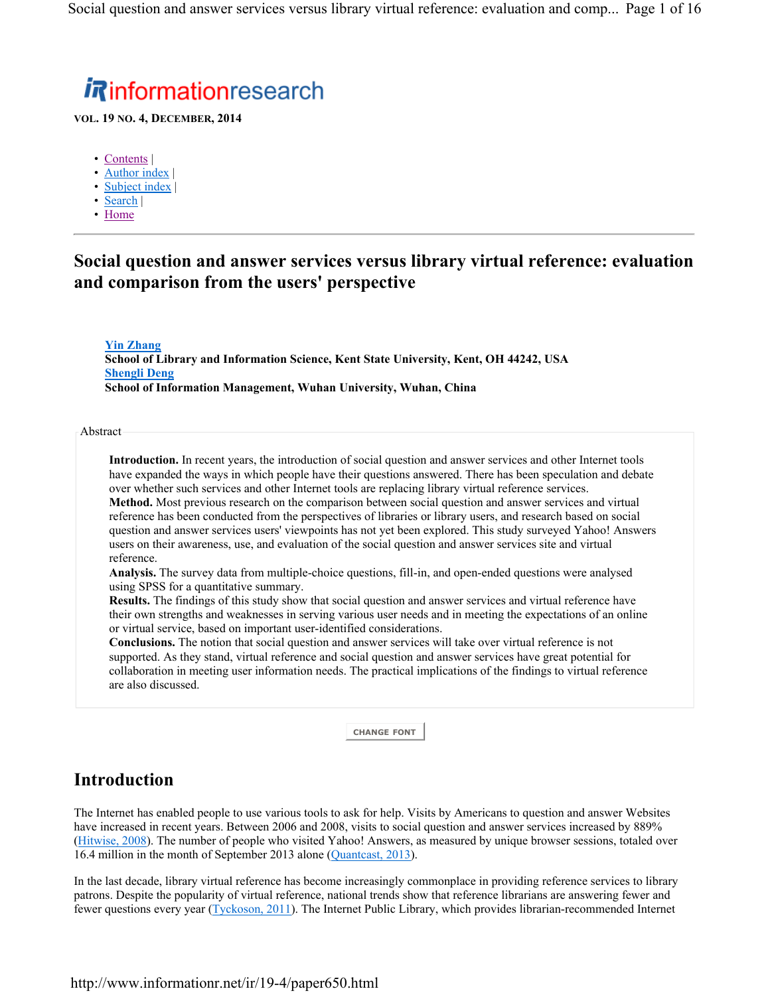# *Rinformationresearch*

**VOL. 19 NO. 4, DECEMBER, 2014**

- Contents |
- Author index
- Subject index
- Search |
- Home

### **Social question and answer services versus library virtual reference: evaluation and comparison from the users' perspective**

**Yin Zhang School of Library and Information Science, Kent State University, Kent, OH 44242, USA Shengli Deng School of Information Management, Wuhan University, Wuhan, China**

Abstract

**Introduction.** In recent years, the introduction of social question and answer services and other Internet tools have expanded the ways in which people have their questions answered. There has been speculation and debate over whether such services and other Internet tools are replacing library virtual reference services. **Method.** Most previous research on the comparison between social question and answer services and virtual reference has been conducted from the perspectives of libraries or library users, and research based on social question and answer services users' viewpoints has not yet been explored. This study surveyed Yahoo! Answers users on their awareness, use, and evaluation of the social question and answer services site and virtual reference.

**Analysis.** The survey data from multiple-choice questions, fill-in, and open-ended questions were analysed using SPSS for a quantitative summary.

**Results.** The findings of this study show that social question and answer services and virtual reference have their own strengths and weaknesses in serving various user needs and in meeting the expectations of an online or virtual service, based on important user-identified considerations.

**Conclusions.** The notion that social question and answer services will take over virtual reference is not supported. As they stand, virtual reference and social question and answer services have great potential for collaboration in meeting user information needs. The practical implications of the findings to virtual reference are also discussed.

**CHANGE FONT**

# **Introduction**

The Internet has enabled people to use various tools to ask for help. Visits by Americans to question and answer Websites have increased in recent years. Between 2006 and 2008, visits to social question and answer services increased by 889% (Hitwise, 2008). The number of people who visited Yahoo! Answers, as measured by unique browser sessions, totaled over 16.4 million in the month of September 2013 alone (Quantcast, 2013).

In the last decade, library virtual reference has become increasingly commonplace in providing reference services to library patrons. Despite the popularity of virtual reference, national trends show that reference librarians are answering fewer and fewer questions every year (Tyckoson, 2011). The Internet Public Library, which provides librarian-recommended Internet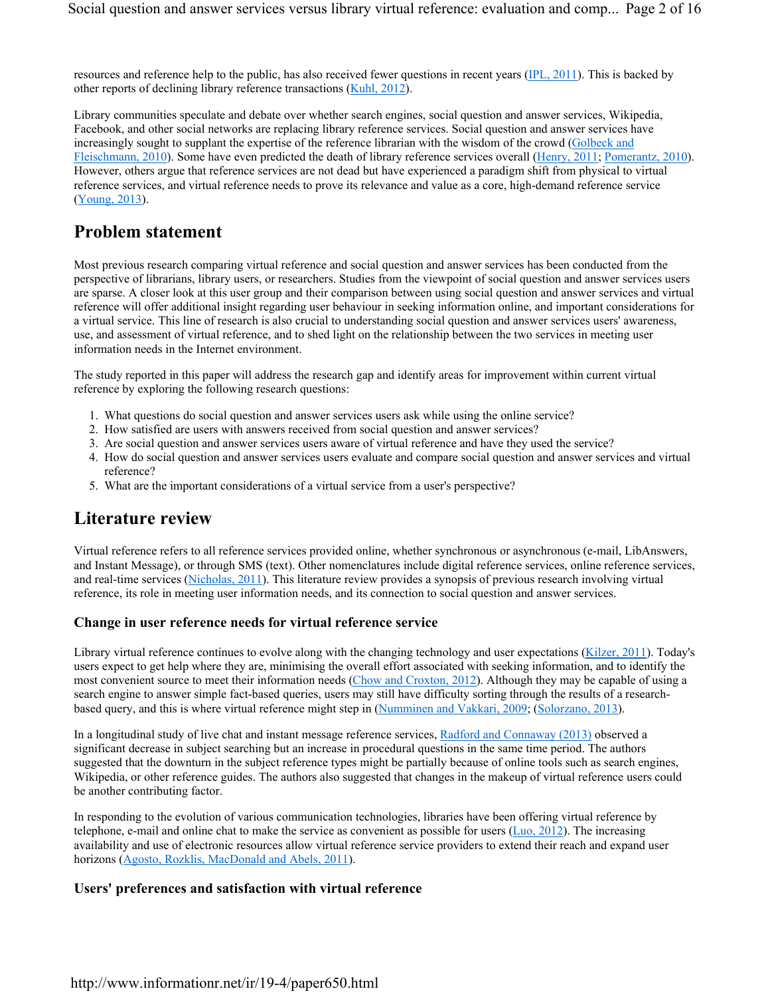resources and reference help to the public, has also received fewer questions in recent years (IPL, 2011). This is backed by other reports of declining library reference transactions (Kuhl, 2012).

Library communities speculate and debate over whether search engines, social question and answer services, Wikipedia, Facebook, and other social networks are replacing library reference services. Social question and answer services have increasingly sought to supplant the expertise of the reference librarian with the wisdom of the crowd (Golbeck and Fleischmann, 2010). Some have even predicted the death of library reference services overall (Henry, 2011; Pomerantz, 2010). However, others argue that reference services are not dead but have experienced a paradigm shift from physical to virtual reference services, and virtual reference needs to prove its relevance and value as a core, high-demand reference service (Young, 2013).

### **Problem statement**

Most previous research comparing virtual reference and social question and answer services has been conducted from the perspective of librarians, library users, or researchers. Studies from the viewpoint of social question and answer services users are sparse. A closer look at this user group and their comparison between using social question and answer services and virtual reference will offer additional insight regarding user behaviour in seeking information online, and important considerations for a virtual service. This line of research is also crucial to understanding social question and answer services users' awareness, use, and assessment of virtual reference, and to shed light on the relationship between the two services in meeting user information needs in the Internet environment.

The study reported in this paper will address the research gap and identify areas for improvement within current virtual reference by exploring the following research questions:

- 1. What questions do social question and answer services users ask while using the online service?
- 2. How satisfied are users with answers received from social question and answer services?
- 3. Are social question and answer services users aware of virtual reference and have they used the service?
- 4. How do social question and answer services users evaluate and compare social question and answer services and virtual reference?
- 5. What are the important considerations of a virtual service from a user's perspective?

### **Literature review**

Virtual reference refers to all reference services provided online, whether synchronous or asynchronous (e-mail, LibAnswers, and Instant Message), or through SMS (text). Other nomenclatures include digital reference services, online reference services, and real-time services (Nicholas, 2011). This literature review provides a synopsis of previous research involving virtual reference, its role in meeting user information needs, and its connection to social question and answer services.

#### **Change in user reference needs for virtual reference service**

Library virtual reference continues to evolve along with the changing technology and user expectations (Kilzer, 2011). Today's users expect to get help where they are, minimising the overall effort associated with seeking information, and to identify the most convenient source to meet their information needs (Chow and Croxton, 2012). Although they may be capable of using a search engine to answer simple fact-based queries, users may still have difficulty sorting through the results of a researchbased query, and this is where virtual reference might step in (Numminen and Vakkari, 2009; (Solorzano, 2013).

In a longitudinal study of live chat and instant message reference services, Radford and Connaway (2013) observed a significant decrease in subject searching but an increase in procedural questions in the same time period. The authors suggested that the downturn in the subject reference types might be partially because of online tools such as search engines, Wikipedia, or other reference guides. The authors also suggested that changes in the makeup of virtual reference users could be another contributing factor.

In responding to the evolution of various communication technologies, libraries have been offering virtual reference by telephone, e-mail and online chat to make the service as convenient as possible for users  $(Luo, 2012)$ . The increasing availability and use of electronic resources allow virtual reference service providers to extend their reach and expand user horizons (Agosto, Rozklis, MacDonald and Abels, 2011).

### **Users' preferences and satisfaction with virtual reference**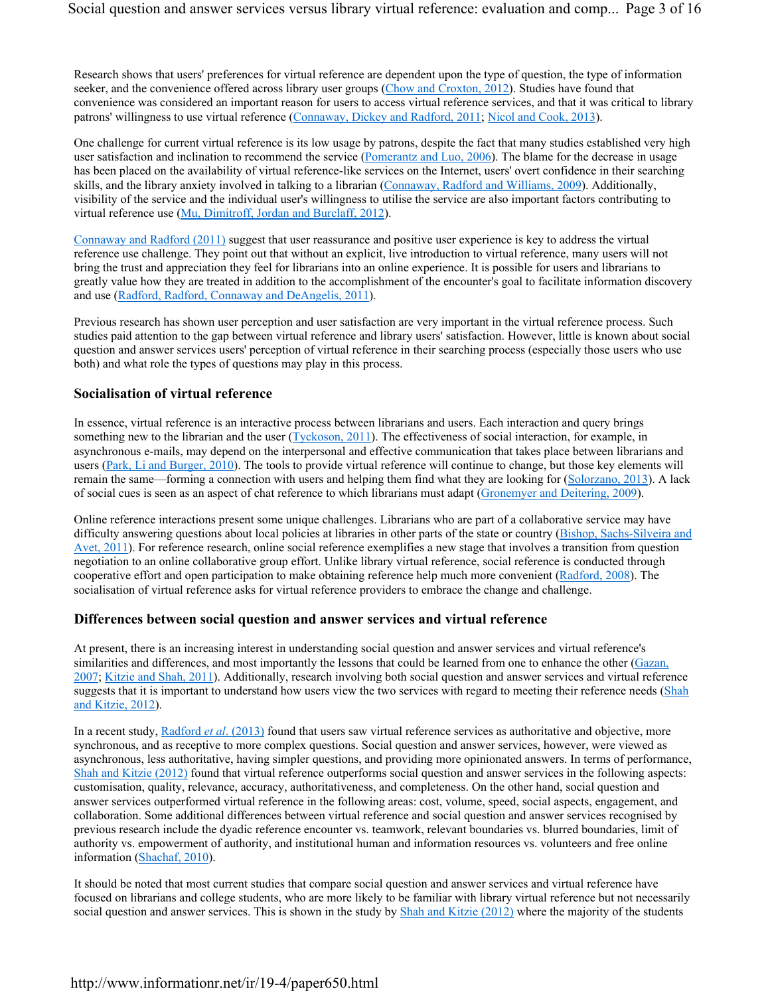Research shows that users' preferences for virtual reference are dependent upon the type of question, the type of information seeker, and the convenience offered across library user groups (Chow and Croxton, 2012). Studies have found that convenience was considered an important reason for users to access virtual reference services, and that it was critical to library patrons' willingness to use virtual reference (Connaway, Dickey and Radford, 2011; Nicol and Cook, 2013).

One challenge for current virtual reference is its low usage by patrons, despite the fact that many studies established very high user satisfaction and inclination to recommend the service (Pomerantz and Luo, 2006). The blame for the decrease in usage has been placed on the availability of virtual reference-like services on the Internet, users' overt confidence in their searching skills, and the library anxiety involved in talking to a librarian (Connaway, Radford and Williams, 2009). Additionally, visibility of the service and the individual user's willingness to utilise the service are also important factors contributing to virtual reference use (Mu, Dimitroff, Jordan and Burclaff, 2012).

Connaway and Radford (2011) suggest that user reassurance and positive user experience is key to address the virtual reference use challenge. They point out that without an explicit, live introduction to virtual reference, many users will not bring the trust and appreciation they feel for librarians into an online experience. It is possible for users and librarians to greatly value how they are treated in addition to the accomplishment of the encounter's goal to facilitate information discovery and use (Radford, Radford, Connaway and DeAngelis, 2011).

Previous research has shown user perception and user satisfaction are very important in the virtual reference process. Such studies paid attention to the gap between virtual reference and library users' satisfaction. However, little is known about social question and answer services users' perception of virtual reference in their searching process (especially those users who use both) and what role the types of questions may play in this process.

### **Socialisation of virtual reference**

In essence, virtual reference is an interactive process between librarians and users. Each interaction and query brings something new to the librarian and the user (Tyckoson, 2011). The effectiveness of social interaction, for example, in asynchronous e-mails, may depend on the interpersonal and effective communication that takes place between librarians and users (Park, Li and Burger, 2010). The tools to provide virtual reference will continue to change, but those key elements will remain the same—forming a connection with users and helping them find what they are looking for (Solorzano, 2013). A lack of social cues is seen as an aspect of chat reference to which librarians must adapt (Gronemyer and Deitering, 2009).

Online reference interactions present some unique challenges. Librarians who are part of a collaborative service may have difficulty answering questions about local policies at libraries in other parts of the state or country (Bishop, Sachs-Silveira and Avet, 2011). For reference research, online social reference exemplifies a new stage that involves a transition from question negotiation to an online collaborative group effort. Unlike library virtual reference, social reference is conducted through cooperative effort and open participation to make obtaining reference help much more convenient (Radford, 2008). The socialisation of virtual reference asks for virtual reference providers to embrace the change and challenge.

#### **Differences between social question and answer services and virtual reference**

At present, there is an increasing interest in understanding social question and answer services and virtual reference's similarities and differences, and most importantly the lessons that could be learned from one to enhance the other (Gazan, 2007; Kitzie and Shah, 2011). Additionally, research involving both social question and answer services and virtual reference suggests that it is important to understand how users view the two services with regard to meeting their reference needs (Shah and Kitzie, 2012).

In a recent study, Radford *et al*. (2013) found that users saw virtual reference services as authoritative and objective, more synchronous, and as receptive to more complex questions. Social question and answer services, however, were viewed as asynchronous, less authoritative, having simpler questions, and providing more opinionated answers. In terms of performance, Shah and Kitzie (2012) found that virtual reference outperforms social question and answer services in the following aspects: customisation, quality, relevance, accuracy, authoritativeness, and completeness. On the other hand, social question and answer services outperformed virtual reference in the following areas: cost, volume, speed, social aspects, engagement, and collaboration. Some additional differences between virtual reference and social question and answer services recognised by previous research include the dyadic reference encounter vs. teamwork, relevant boundaries vs. blurred boundaries, limit of authority vs. empowerment of authority, and institutional human and information resources vs. volunteers and free online information (Shachaf, 2010).

It should be noted that most current studies that compare social question and answer services and virtual reference have focused on librarians and college students, who are more likely to be familiar with library virtual reference but not necessarily social question and answer services. This is shown in the study by Shah and Kitzie (2012) where the majority of the students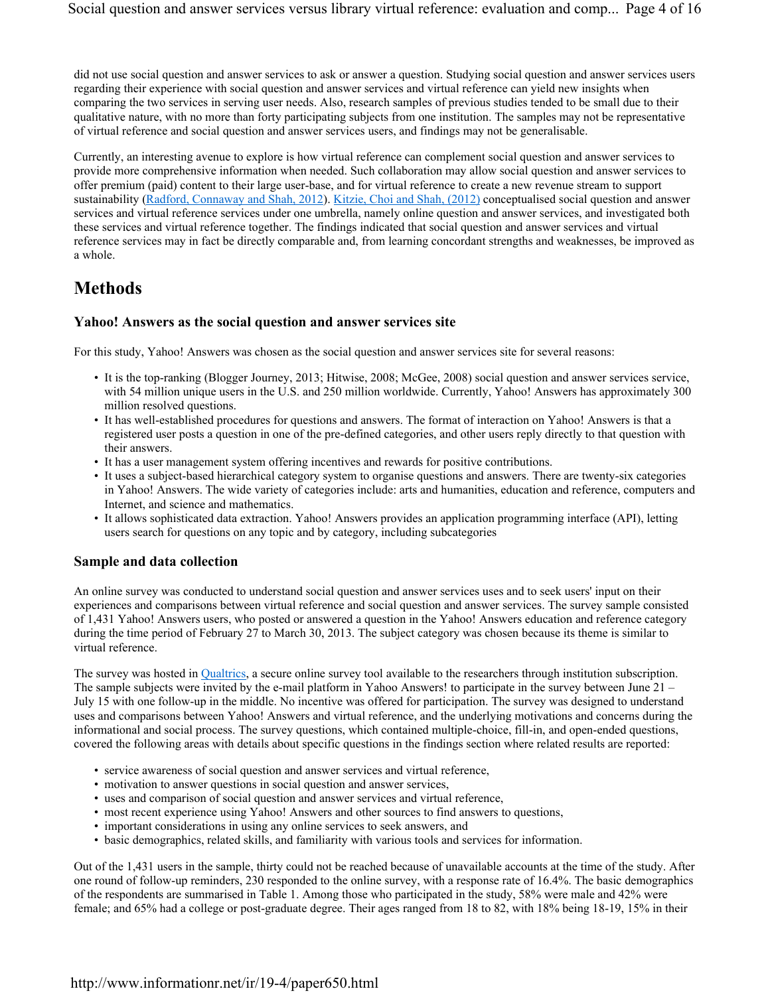did not use social question and answer services to ask or answer a question. Studying social question and answer services users regarding their experience with social question and answer services and virtual reference can yield new insights when comparing the two services in serving user needs. Also, research samples of previous studies tended to be small due to their qualitative nature, with no more than forty participating subjects from one institution. The samples may not be representative of virtual reference and social question and answer services users, and findings may not be generalisable.

Currently, an interesting avenue to explore is how virtual reference can complement social question and answer services to provide more comprehensive information when needed. Such collaboration may allow social question and answer services to offer premium (paid) content to their large user-base, and for virtual reference to create a new revenue stream to support sustainability (Radford, Connaway and Shah, 2012). Kitzie, Choi and Shah, (2012) conceptualised social question and answer services and virtual reference services under one umbrella, namely online question and answer services, and investigated both these services and virtual reference together. The findings indicated that social question and answer services and virtual reference services may in fact be directly comparable and, from learning concordant strengths and weaknesses, be improved as a whole.

# **Methods**

### **Yahoo! Answers as the social question and answer services site**

For this study, Yahoo! Answers was chosen as the social question and answer services site for several reasons:

- It is the top-ranking (Blogger Journey, 2013; Hitwise, 2008; McGee, 2008) social question and answer services service, with 54 million unique users in the U.S. and 250 million worldwide. Currently, Yahoo! Answers has approximately 300 million resolved questions.
- It has well-established procedures for questions and answers. The format of interaction on Yahoo! Answers is that a registered user posts a question in one of the pre-defined categories, and other users reply directly to that question with their answers.
- It has a user management system offering incentives and rewards for positive contributions.
- It uses a subject-based hierarchical category system to organise questions and answers. There are twenty-six categories in Yahoo! Answers. The wide variety of categories include: arts and humanities, education and reference, computers and Internet, and science and mathematics.
- It allows sophisticated data extraction. Yahoo! Answers provides an application programming interface (API), letting users search for questions on any topic and by category, including subcategories

#### **Sample and data collection**

An online survey was conducted to understand social question and answer services uses and to seek users' input on their experiences and comparisons between virtual reference and social question and answer services. The survey sample consisted of 1,431 Yahoo! Answers users, who posted or answered a question in the Yahoo! Answers education and reference category during the time period of February 27 to March 30, 2013. The subject category was chosen because its theme is similar to virtual reference.

The survey was hosted in Qualtrics, a secure online survey tool available to the researchers through institution subscription. The sample subjects were invited by the e-mail platform in Yahoo Answers! to participate in the survey between June 21 – July 15 with one follow-up in the middle. No incentive was offered for participation. The survey was designed to understand uses and comparisons between Yahoo! Answers and virtual reference, and the underlying motivations and concerns during the informational and social process. The survey questions, which contained multiple-choice, fill-in, and open-ended questions, covered the following areas with details about specific questions in the findings section where related results are reported:

- service awareness of social question and answer services and virtual reference,
- motivation to answer questions in social question and answer services,
- uses and comparison of social question and answer services and virtual reference,
- most recent experience using Yahoo! Answers and other sources to find answers to questions,
- important considerations in using any online services to seek answers, and
- basic demographics, related skills, and familiarity with various tools and services for information.

Out of the 1,431 users in the sample, thirty could not be reached because of unavailable accounts at the time of the study. After one round of follow-up reminders, 230 responded to the online survey, with a response rate of 16.4%. The basic demographics of the respondents are summarised in Table 1. Among those who participated in the study, 58% were male and 42% were female; and 65% had a college or post-graduate degree. Their ages ranged from 18 to 82, with 18% being 18-19, 15% in their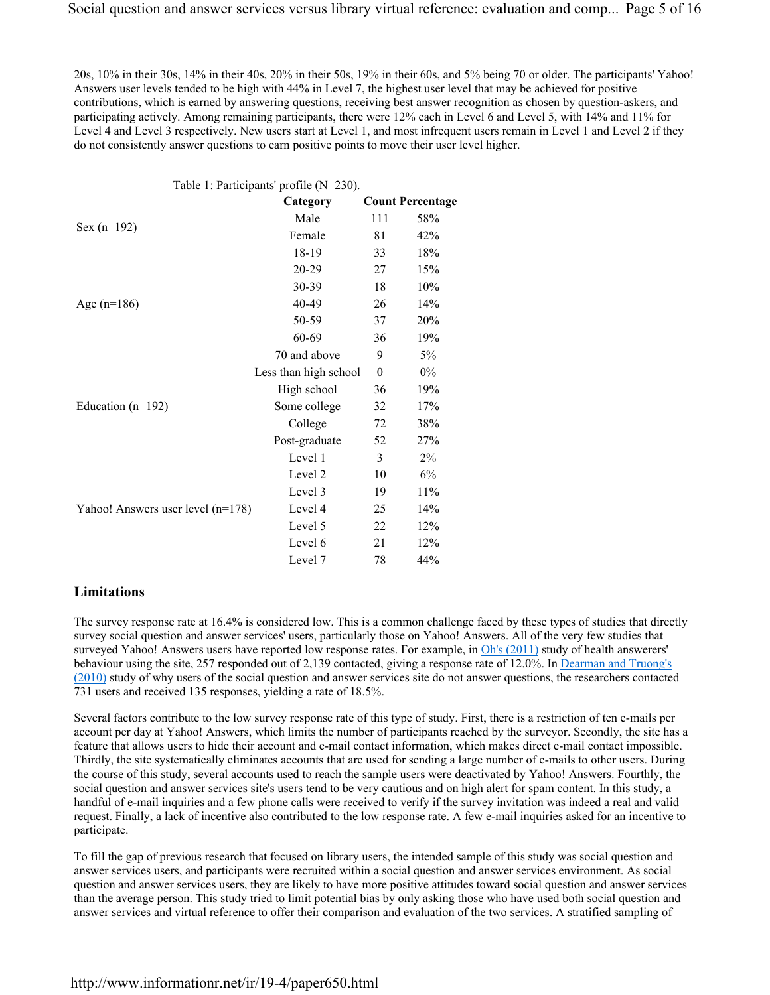20s, 10% in their 30s, 14% in their 40s, 20% in their 50s, 19% in their 60s, and 5% being 70 or older. The participants' Yahoo! Answers user levels tended to be high with 44% in Level 7, the highest user level that may be achieved for positive contributions, which is earned by answering questions, receiving best answer recognition as chosen by question-askers, and participating actively. Among remaining participants, there were 12% each in Level 6 and Level 5, with 14% and 11% for Level 4 and Level 3 respectively. New users start at Level 1, and most infrequent users remain in Level 1 and Level 2 if they do not consistently answer questions to earn positive points to move their user level higher.

|                                   | Table 1: Participants' profile (N=230). |          |                         |
|-----------------------------------|-----------------------------------------|----------|-------------------------|
|                                   | Category                                |          | <b>Count Percentage</b> |
|                                   | Male                                    | 111      | 58%                     |
| $Sex (n=192)$                     | Female                                  | 81       | 42%                     |
|                                   | 18-19                                   | 33       | 18%                     |
|                                   | 20-29                                   | 27       | 15%                     |
|                                   | 30-39                                   | 18       | 10%                     |
| Age $(n=186)$                     | 40-49                                   | 26       | 14%                     |
|                                   | 50-59                                   | 37       | 20%                     |
|                                   | 60-69                                   | 36       | 19%                     |
|                                   | 70 and above                            | 9        | 5%                      |
|                                   | Less than high school                   | $\theta$ | $0\%$                   |
|                                   | High school                             | 36       | 19%                     |
| Education $(n=192)$               | Some college                            | 32       | 17%                     |
|                                   | College                                 | 72       | 38%                     |
|                                   | Post-graduate                           | 52       | 27%                     |
|                                   | Level 1                                 | 3        | $2\%$                   |
|                                   | Level 2                                 | 10       | 6%                      |
|                                   | Level 3                                 | 19       | 11%                     |
| Yahoo! Answers user level (n=178) | Level 4                                 | 25       | 14%                     |
|                                   | Level 5                                 | 22       | 12%                     |
|                                   | Level 6                                 | 21       | 12%                     |
|                                   | Level 7                                 | 78       | 44%                     |
|                                   |                                         |          |                         |

### **Limitations**

The survey response rate at 16.4% is considered low. This is a common challenge faced by these types of studies that directly survey social question and answer services' users, particularly those on Yahoo! Answers. All of the very few studies that surveyed Yahoo! Answers users have reported low response rates. For example, in Oh's (2011) study of health answerers' behaviour using the site, 257 responded out of 2,139 contacted, giving a response rate of 12.0%. In Dearman and Truong's (2010) study of why users of the social question and answer services site do not answer questions, the researchers contacted 731 users and received 135 responses, yielding a rate of 18.5%.

Several factors contribute to the low survey response rate of this type of study. First, there is a restriction of ten e-mails per account per day at Yahoo! Answers, which limits the number of participants reached by the surveyor. Secondly, the site has a feature that allows users to hide their account and e-mail contact information, which makes direct e-mail contact impossible. Thirdly, the site systematically eliminates accounts that are used for sending a large number of e-mails to other users. During the course of this study, several accounts used to reach the sample users were deactivated by Yahoo! Answers. Fourthly, the social question and answer services site's users tend to be very cautious and on high alert for spam content. In this study, a handful of e-mail inquiries and a few phone calls were received to verify if the survey invitation was indeed a real and valid request. Finally, a lack of incentive also contributed to the low response rate. A few e-mail inquiries asked for an incentive to participate.

To fill the gap of previous research that focused on library users, the intended sample of this study was social question and answer services users, and participants were recruited within a social question and answer services environment. As social question and answer services users, they are likely to have more positive attitudes toward social question and answer services than the average person. This study tried to limit potential bias by only asking those who have used both social question and answer services and virtual reference to offer their comparison and evaluation of the two services. A stratified sampling of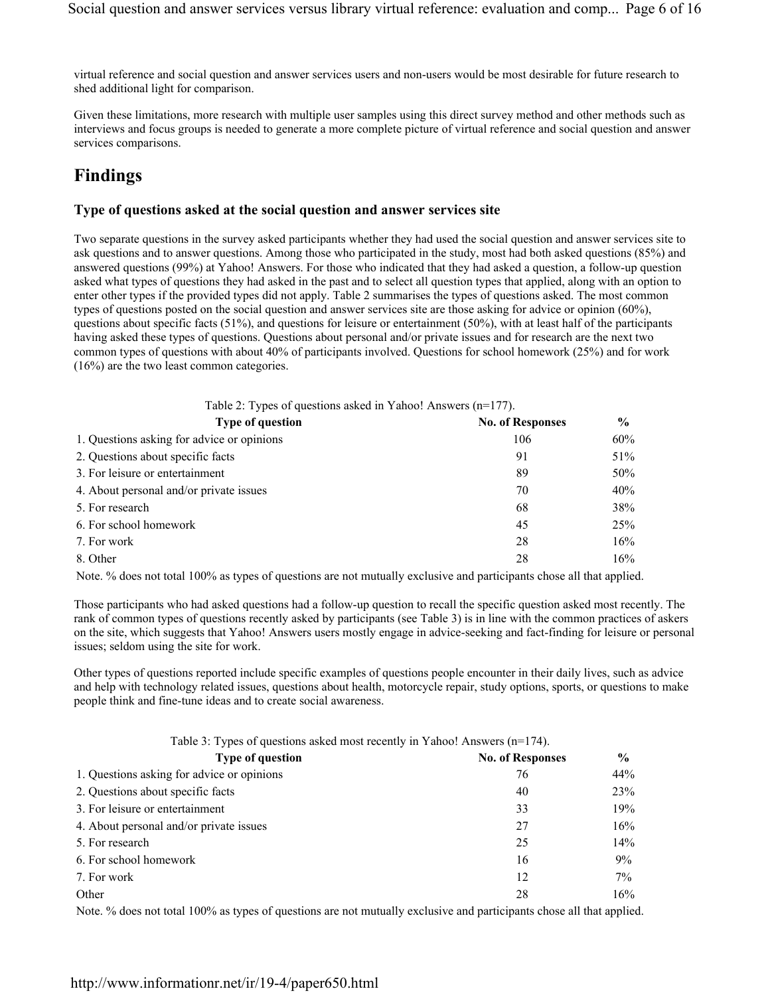virtual reference and social question and answer services users and non-users would be most desirable for future research to shed additional light for comparison.

Given these limitations, more research with multiple user samples using this direct survey method and other methods such as interviews and focus groups is needed to generate a more complete picture of virtual reference and social question and answer services comparisons.

# **Findings**

### **Type of questions asked at the social question and answer services site**

Two separate questions in the survey asked participants whether they had used the social question and answer services site to ask questions and to answer questions. Among those who participated in the study, most had both asked questions (85%) and answered questions (99%) at Yahoo! Answers. For those who indicated that they had asked a question, a follow-up question asked what types of questions they had asked in the past and to select all question types that applied, along with an option to enter other types if the provided types did not apply. Table 2 summarises the types of questions asked. The most common types of questions posted on the social question and answer services site are those asking for advice or opinion (60%), questions about specific facts (51%), and questions for leisure or entertainment (50%), with at least half of the participants having asked these types of questions. Questions about personal and/or private issues and for research are the next two common types of questions with about 40% of participants involved. Questions for school homework (25%) and for work (16%) are the two least common categories.

| Table 2: Types of questions asked in Yahoo! Answers $(n=177)$ . |                         |               |
|-----------------------------------------------------------------|-------------------------|---------------|
| <b>Type of question</b>                                         | <b>No. of Responses</b> | $\frac{0}{0}$ |
| 1. Questions asking for advice or opinions                      | 106                     | 60%           |
| 2. Questions about specific facts                               | 91                      | 51%           |
| 3. For leisure or entertainment                                 | 89                      | 50%           |
| 4. About personal and/or private issues                         | 70                      | 40%           |
| 5. For research                                                 | 68                      | 38%           |
| 6. For school homework                                          | 45                      | 25%           |
| 7. For work                                                     | 28                      | 16%           |
| 8. Other                                                        | 28                      | 16%           |

Note. % does not total 100% as types of questions are not mutually exclusive and participants chose all that applied.

Those participants who had asked questions had a follow-up question to recall the specific question asked most recently. The rank of common types of questions recently asked by participants (see Table 3) is in line with the common practices of askers on the site, which suggests that Yahoo! Answers users mostly engage in advice-seeking and fact-finding for leisure or personal issues; seldom using the site for work.

Other types of questions reported include specific examples of questions people encounter in their daily lives, such as advice and help with technology related issues, questions about health, motorcycle repair, study options, sports, or questions to make people think and fine-tune ideas and to create social awareness.

| Table 3: Types of questions asked most recently in Yahoo! Answers (n=174). |                         |               |
|----------------------------------------------------------------------------|-------------------------|---------------|
| <b>Type of question</b>                                                    | <b>No. of Responses</b> | $\frac{0}{0}$ |
| 1. Questions asking for advice or opinions                                 | 76                      | 44%           |
| 2. Questions about specific facts                                          | 40                      | 23%           |
| 3. For leisure or entertainment                                            | 33                      | 19%           |
| 4. About personal and/or private issues                                    | 27                      | 16%           |
| 5. For research                                                            | 25                      | 14%           |
| 6. For school homework                                                     | 16                      | 9%            |
| 7. For work                                                                | 12                      | $7\%$         |
| Other                                                                      | 28                      | 16%           |

Note. % does not total 100% as types of questions are not mutually exclusive and participants chose all that applied.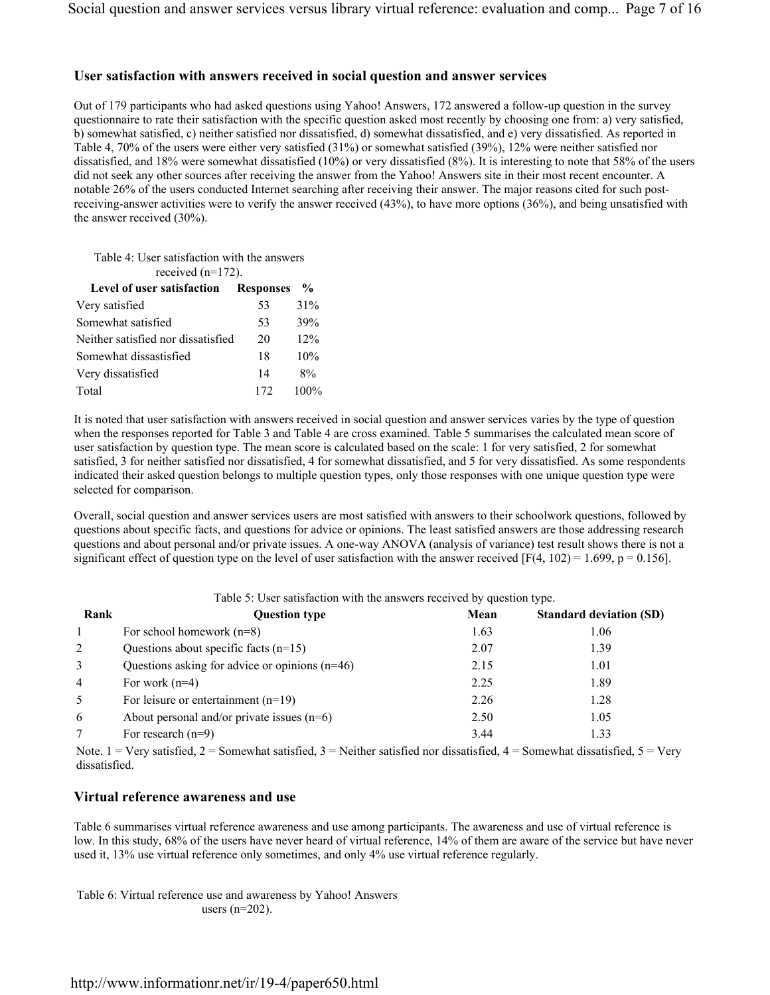### **User satisfaction with answers received in social question and answer services**

Out of 179 participants who had asked questions using Yahoo! Answers, 172 answered a follow-up question in the survey questionnaire to rate their satisfaction with the specific question asked most recently by choosing one from: a) very satisfied, b) somewhat satisfied, c) neither satisfied nor dissatisfied, d) somewhat dissatisfied, and e) very dissatisfied. As reported in Table 4, 70% of the users were either very satisfied (31%) or somewhat satisfied (39%), 12% were neither satisfied nor dissatisfied, and 18% were somewhat dissatisfied (10%) or very dissatisfied (8%). It is interesting to note that 58% of the users did not seek any other sources after receiving the answer from the Yahoo! Answers site in their most recent encounter. A notable 26% of the users conducted Internet searching after receiving their answer. The major reasons cited for such postreceiving-answer activities were to verify the answer received (43%), to have more options (36%), and being unsatisfied with the answer received (30%).

| Table 4: User satisfaction with the answers<br>received $(n=172)$ . |     |               |
|---------------------------------------------------------------------|-----|---------------|
| <b>Level of user satisfaction Responses</b>                         |     | $\frac{6}{9}$ |
| Very satisfied                                                      | 53  | 31%           |
| Somewhat satisfied                                                  | 53  | 39%           |
| Neither satisfied nor dissatisfied                                  | 20  | 12%           |
| Somewhat dissastisfied                                              | 18  | 10%           |
| Very dissatisfied                                                   | 14  | 8%            |
| Total                                                               | 172 | 100%          |

It is noted that user satisfaction with answers received in social question and answer services varies by the type of question when the responses reported for Table 3 and Table 4 are cross examined. Table 5 summarises the calculated mean score of user satisfaction by question type. The mean score is calculated based on the scale: 1 for very satisfied, 2 for somewhat satisfied, 3 for neither satisfied nor dissatisfied, 4 for somewhat dissatisfied, and 5 for very dissatisfied. As some respondents indicated their asked question belongs to multiple question types, only those responses with one unique question type were selected for comparison.

Overall, social question and answer services users are most satisfied with answers to their schoolwork questions, followed by questions about specific facts, and questions for advice or opinions. The least satisfied answers are those addressing research questions and about personal and/or private issues. A one-way ANOVA (analysis of variance) test result shows there is not a significant effect of question type on the level of user satisfaction with the answer received [F(4, 102) = 1.699, p = 0.156].

| Table 5: User satisfaction with the answers received by question type. |                                                  |      |      |  |  |
|------------------------------------------------------------------------|--------------------------------------------------|------|------|--|--|
| Rank<br><b>Question type</b><br>Mean<br><b>Standard deviation (SD)</b> |                                                  |      |      |  |  |
|                                                                        | For school homework $(n=8)$                      | 1.63 | 1.06 |  |  |
| 2                                                                      | Questions about specific facts $(n=15)$          | 2.07 | 1.39 |  |  |
| 3                                                                      | Questions asking for advice or opinions $(n=46)$ | 2.15 | 1.01 |  |  |
| $\overline{4}$                                                         | For work $(n=4)$                                 | 2.25 | 1.89 |  |  |
| 5                                                                      | For leisure or entertainment $(n=19)$            | 2.26 | 1.28 |  |  |
| 6                                                                      | About personal and/or private issues $(n=6)$     | 2.50 | 1.05 |  |  |
|                                                                        | For research $(n=9)$                             | 3.44 | 1.33 |  |  |

Note. 1 = Very satisfied, 2 = Somewhat satisfied, 3 = Neither satisfied nor dissatisfied, 4 = Somewhat dissatisfied, 5 = Very dissatisfied.

### **Virtual reference awareness and use**

Table 6 summarises virtual reference awareness and use among participants. The awareness and use of virtual reference is low. In this study, 68% of the users have never heard of virtual reference, 14% of them are aware of the service but have never used it, 13% use virtual reference only sometimes, and only 4% use virtual reference regularly.

Table 6: Virtual reference use and awareness by Yahoo! Answers users (n=202).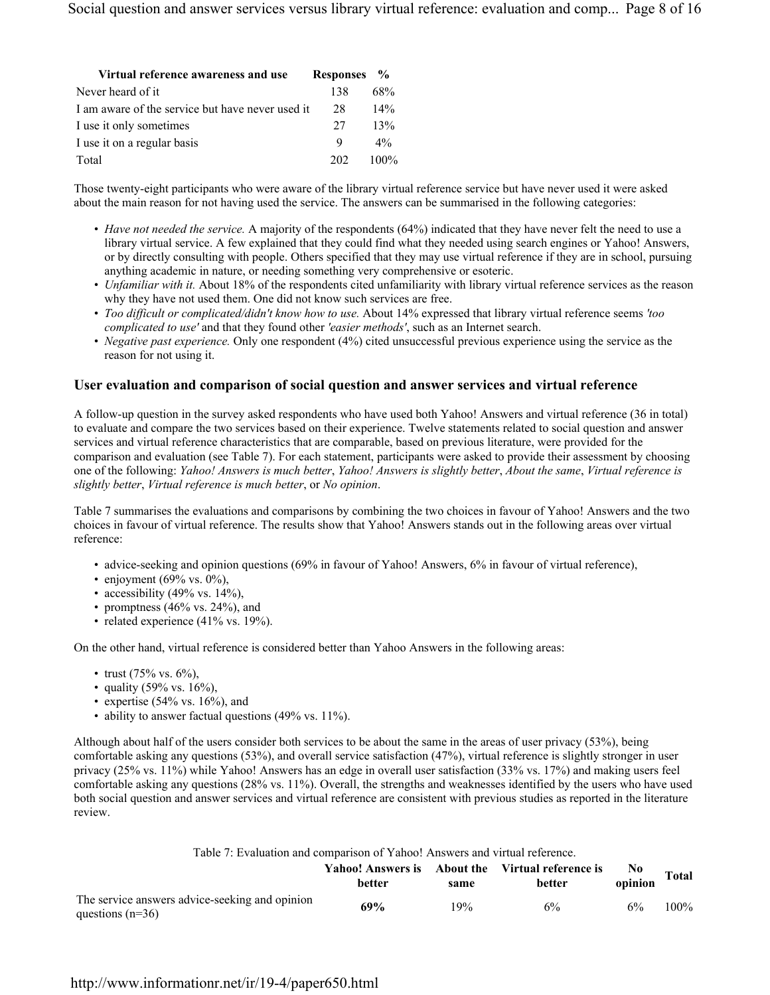| Virtual reference awareness and use              | Responses % |         |
|--------------------------------------------------|-------------|---------|
| Never heard of it                                | 138         | 68%     |
| I am aware of the service but have never used it | 28          | $14\%$  |
| I use it only sometimes                          | 27          | 13%     |
| I use it on a regular basis                      | 9           | $4\%$   |
| Total                                            | 202         | $100\%$ |

Those twenty-eight participants who were aware of the library virtual reference service but have never used it were asked about the main reason for not having used the service. The answers can be summarised in the following categories:

- *Have not needed the service.* A majority of the respondents (64%) indicated that they have never felt the need to use a library virtual service. A few explained that they could find what they needed using search engines or Yahoo! Answers, or by directly consulting with people. Others specified that they may use virtual reference if they are in school, pursuing anything academic in nature, or needing something very comprehensive or esoteric.
- *Unfamiliar with it.* About 18% of the respondents cited unfamiliarity with library virtual reference services as the reason why they have not used them. One did not know such services are free.
- *Too difficult or complicated/didn't know how to use.* About 14% expressed that library virtual reference seems *'too complicated to use'* and that they found other *'easier methods'*, such as an Internet search.
- *Negative past experience.* Only one respondent (4%) cited unsuccessful previous experience using the service as the reason for not using it.

### **User evaluation and comparison of social question and answer services and virtual reference**

A follow-up question in the survey asked respondents who have used both Yahoo! Answers and virtual reference (36 in total) to evaluate and compare the two services based on their experience. Twelve statements related to social question and answer services and virtual reference characteristics that are comparable, based on previous literature, were provided for the comparison and evaluation (see Table 7). For each statement, participants were asked to provide their assessment by choosing one of the following: *Yahoo! Answers is much better*, *Yahoo! Answers is slightly better*, *About the same*, *Virtual reference is slightly better*, *Virtual reference is much better*, or *No opinion*.

Table 7 summarises the evaluations and comparisons by combining the two choices in favour of Yahoo! Answers and the two choices in favour of virtual reference. The results show that Yahoo! Answers stands out in the following areas over virtual reference:

- advice-seeking and opinion questions (69% in favour of Yahoo! Answers, 6% in favour of virtual reference),
- enjoyment  $(69\% \text{ vs. } 0\%)$ ,
- accessibility (49% vs.  $14\%$ ),
- promptness  $(46\% \text{ vs. } 24\%)$ , and
- related experience (41% vs. 19%).

On the other hand, virtual reference is considered better than Yahoo Answers in the following areas:

- trust  $(75\% \text{ vs. } 6\%)$ .
- quality (59% vs.  $16\%$ ),
- expertise  $(54\% \text{ vs. } 16\%)$ , and
- ability to answer factual questions (49% vs. 11%).

Although about half of the users consider both services to be about the same in the areas of user privacy (53%), being comfortable asking any questions (53%), and overall service satisfaction (47%), virtual reference is slightly stronger in user privacy (25% vs. 11%) while Yahoo! Answers has an edge in overall user satisfaction (33% vs. 17%) and making users feel comfortable asking any questions (28% vs. 11%). Overall, the strengths and weaknesses identified by the users who have used both social question and answer services and virtual reference are consistent with previous studies as reported in the literature review.

#### Table 7: Evaluation and comparison of Yahoo! Answers and virtual reference.

|                                                                      | <b>better</b> | same | Yahoo! Answers is About the Virtual reference is<br>better | No.<br>opinion | <b>Total</b> |
|----------------------------------------------------------------------|---------------|------|------------------------------------------------------------|----------------|--------------|
| The service answers advice-seeking and opinion<br>questions $(n=36)$ | 69%           | 19%  | 6%                                                         | 6%             | $100\%$      |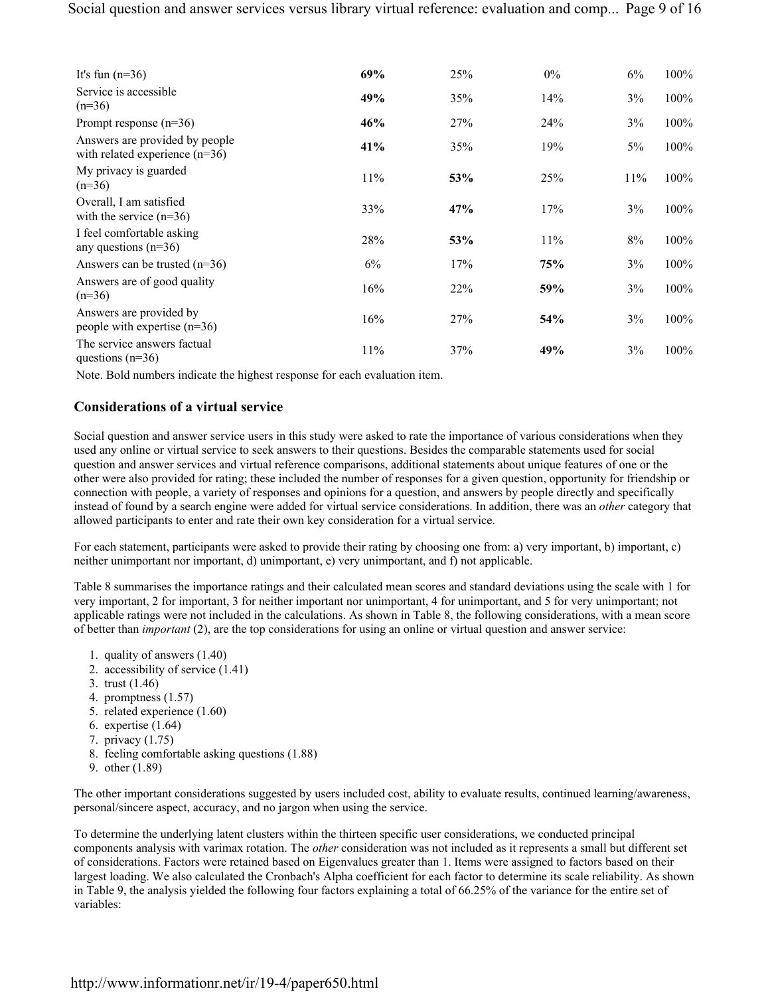| It's fun $(n=36)$                                                  | 69% | 25% | $0\%$ | 6%  | $100\%$ |
|--------------------------------------------------------------------|-----|-----|-------|-----|---------|
| Service is accessible<br>$(n=36)$                                  | 49% | 35% | 14%   | 3%  | 100%    |
| Prompt response $(n=36)$                                           | 46% | 27% | 24%   | 3%  | $100\%$ |
| Answers are provided by people<br>with related experience $(n=36)$ | 41% | 35% | 19%   | 5%  | $100\%$ |
| My privacy is guarded<br>$(n=36)$                                  | 11% | 53% | 25%   | 11% | $100\%$ |
| Overall, I am satisfied<br>with the service $(n=36)$               | 33% | 47% | 17%   | 3%  | 100%    |
| I feel comfortable asking<br>any questions $(n=36)$                | 28% | 53% | 11%   | 8%  | 100%    |
| Answers can be trusted $(n=36)$                                    | 6%  | 17% | 75%   | 3%  | 100%    |
| Answers are of good quality<br>$(n=36)$                            | 16% | 22% | 59%   | 3%  | 100%    |
| Answers are provided by<br>people with expertise $(n=36)$          | 16% | 27% | 54%   | 3%  | 100%    |
| The service answers factual<br>questions $(n=36)$                  | 11% | 37% | 49%   | 3%  | $100\%$ |

Note. Bold numbers indicate the highest response for each evaluation item.

### **Considerations of a virtual service**

Social question and answer service users in this study were asked to rate the importance of various considerations when they used any online or virtual service to seek answers to their questions. Besides the comparable statements used for social question and answer services and virtual reference comparisons, additional statements about unique features of one or the other were also provided for rating; these included the number of responses for a given question, opportunity for friendship or connection with people, a variety of responses and opinions for a question, and answers by people directly and specifically instead of found by a search engine were added for virtual service considerations. In addition, there was an *other* category that allowed participants to enter and rate their own key consideration for a virtual service.

For each statement, participants were asked to provide their rating by choosing one from: a) very important, b) important, c) neither unimportant nor important, d) unimportant, e) very unimportant, and f) not applicable.

Table 8 summarises the importance ratings and their calculated mean scores and standard deviations using the scale with 1 for very important, 2 for important, 3 for neither important nor unimportant, 4 for unimportant, and 5 for very unimportant; not applicable ratings were not included in the calculations. As shown in Table 8, the following considerations, with a mean score of better than *important* (2), are the top considerations for using an online or virtual question and answer service:

- 1. quality of answers (1.40)
- 2. accessibility of service (1.41)
- 3. trust (1.46)
- 4. promptness (1.57)
- 5. related experience (1.60)
- 6. expertise (1.64)
- 7. privacy (1.75)
- 8. feeling comfortable asking questions (1.88)
- 9. other (1.89)

The other important considerations suggested by users included cost, ability to evaluate results, continued learning/awareness, personal/sincere aspect, accuracy, and no jargon when using the service.

To determine the underlying latent clusters within the thirteen specific user considerations, we conducted principal components analysis with varimax rotation. The *other* consideration was not included as it represents a small but different set of considerations. Factors were retained based on Eigenvalues greater than 1. Items were assigned to factors based on their largest loading. We also calculated the Cronbach's Alpha coefficient for each factor to determine its scale reliability. As shown in Table 9, the analysis yielded the following four factors explaining a total of 66.25% of the variance for the entire set of variables: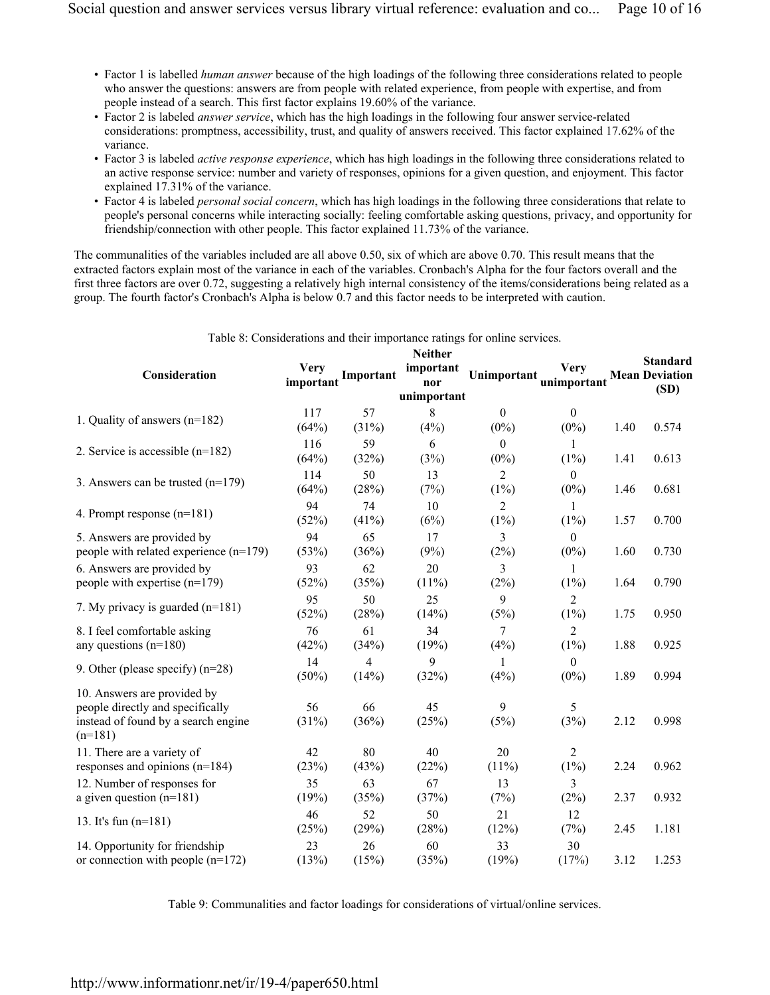- Factor 1 is labelled *human answer* because of the high loadings of the following three considerations related to people who answer the questions: answers are from people with related experience, from people with expertise, and from people instead of a search. This first factor explains 19.60% of the variance.
- Factor 2 is labeled *answer service*, which has the high loadings in the following four answer service-related considerations: promptness, accessibility, trust, and quality of answers received. This factor explained 17.62% of the variance.
- Factor 3 is labeled *active response experience*, which has high loadings in the following three considerations related to an active response service: number and variety of responses, opinions for a given question, and enjoyment. This factor explained 17.31% of the variance.
- Factor 4 is labeled *personal social concern*, which has high loadings in the following three considerations that relate to people's personal concerns while interacting socially: feeling comfortable asking questions, privacy, and opportunity for friendship/connection with other people. This factor explained 11.73% of the variance.

The communalities of the variables included are all above 0.50, six of which are above 0.70. This result means that the extracted factors explain most of the variance in each of the variables. Cronbach's Alpha for the four factors overall and the first three factors are over 0.72, suggesting a relatively high internal consistency of the items/considerations being related as a group. The fourth factor's Cronbach's Alpha is below 0.7 and this factor needs to be interpreted with caution.

| Consideration                                                                                                       | Verv<br>important | Important   | <b>Neither</b><br>important<br>nor<br>unimportant | Unimportant               | <b>Very</b><br>unimportant |      | <b>Standard</b><br><b>Mean Deviation</b><br>(SD) |
|---------------------------------------------------------------------------------------------------------------------|-------------------|-------------|---------------------------------------------------|---------------------------|----------------------------|------|--------------------------------------------------|
| 1. Quality of answers (n=182)                                                                                       | 117               | 57          | 8                                                 | $\theta$                  | $\theta$                   |      |                                                  |
|                                                                                                                     | (64%)             | (31%)       | (4%)                                              | $(0\%)$                   | $(0\%)$                    | 1.40 | 0.574                                            |
| 2. Service is accessible $(n=182)$                                                                                  | 116<br>(64%)      | 59<br>(32%) | 6<br>(3%)                                         | $\theta$<br>$(0\%)$       | 1<br>$(1\%)$               | 1.41 | 0.613                                            |
| 3. Answers can be trusted $(n=179)$                                                                                 | 114<br>(64%)      | 50<br>(28%) | 13<br>(7%)                                        | 2<br>$(1\%)$              | $\theta$<br>$(0\%)$        | 1.46 | 0.681                                            |
| 4. Prompt response $(n=181)$                                                                                        | 94<br>(52%)       | 74<br>(41%) | 10<br>(6%)                                        | $\overline{2}$<br>$(1\%)$ | 1<br>$(1\%)$               | 1.57 | 0.700                                            |
| 5. Answers are provided by<br>people with related experience (n=179)                                                | 94<br>(53%)       | 65<br>(36%) | 17<br>(9%)                                        | 3<br>(2%)                 | $\theta$<br>$(0\%)$        | 1.60 | 0.730                                            |
| 6. Answers are provided by<br>people with expertise $(n=179)$                                                       | 93<br>(52%)       | 62<br>(35%) | 20<br>(11%)                                       | 3<br>(2%)                 | 1<br>$(1\%)$               | 1.64 | 0.790                                            |
| 7. My privacy is guarded $(n=181)$                                                                                  | 95<br>(52%)       | 50<br>(28%) | 25<br>(14%)                                       | 9<br>(5%)                 | $\overline{2}$<br>$(1\%)$  | 1.75 | 0.950                                            |
| 8. I feel comfortable asking<br>any questions $(n=180)$                                                             | 76<br>(42%)       | 61<br>(34%) | 34<br>(19%)                                       | 7<br>(4%)                 | $\overline{2}$<br>$(1\%)$  | 1.88 | 0.925                                            |
| 9. Other (please specify) $(n=28)$                                                                                  | 14<br>$(50\%)$    | 4<br>(14%)  | 9<br>(32%)                                        | 1<br>(4%)                 | $\theta$<br>$(0\%)$        | 1.89 | 0.994                                            |
| 10. Answers are provided by<br>people directly and specifically<br>instead of found by a search engine<br>$(n=181)$ | 56<br>(31%)       | 66<br>(36%) | 45<br>(25%)                                       | 9<br>(5%)                 | 5<br>(3%)                  | 2.12 | 0.998                                            |
| 11. There are a variety of<br>responses and opinions $(n=184)$                                                      | 42<br>(23%)       | 80<br>(43%) | 40<br>(22%)                                       | 20<br>$(11\%)$            | $\overline{2}$<br>$(1\%)$  | 2.24 | 0.962                                            |
| 12. Number of responses for<br>a given question $(n=181)$                                                           | 35<br>(19%)       | 63<br>(35%) | 67<br>(37%)                                       | 13<br>(7%)                | 3<br>(2%)                  | 2.37 | 0.932                                            |
| 13. It's fun $(n=181)$                                                                                              | 46<br>(25%)       | 52<br>(29%) | 50<br>(28%)                                       | 21<br>(12%)               | 12<br>(7%)                 | 2.45 | 1.181                                            |
| 14. Opportunity for friendship<br>or connection with people $(n=172)$                                               | 23<br>(13%)       | 26<br>(15%) | 60<br>(35%)                                       | 33<br>(19%)               | 30<br>(17%)                | 3.12 | 1.253                                            |

Table 8: Considerations and their importance ratings for online services.

Table 9: Communalities and factor loadings for considerations of virtual/online services.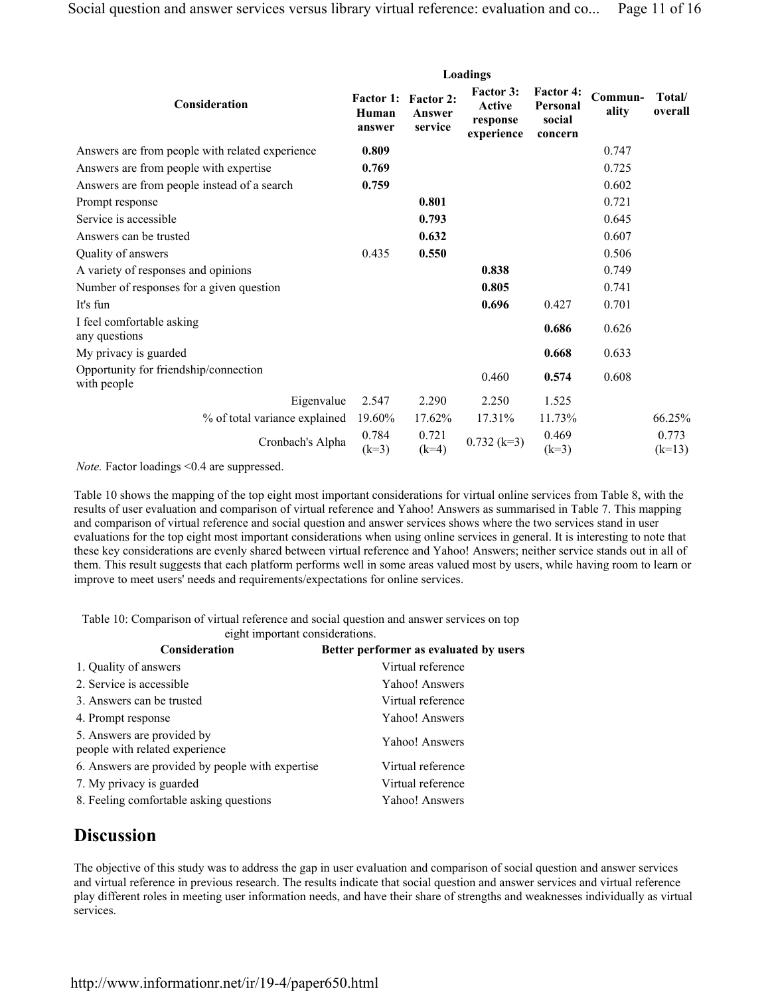|                                                      | Loadings                            |                                       |                                               |                                                   |                  |                   |
|------------------------------------------------------|-------------------------------------|---------------------------------------|-----------------------------------------------|---------------------------------------------------|------------------|-------------------|
| Consideration                                        | <b>Factor 1:</b><br>Human<br>answer | <b>Factor 2:</b><br>Answer<br>service | Factor 3:<br>Active<br>response<br>experience | <b>Factor 4:</b><br>Personal<br>social<br>concern | Commun-<br>ality | Total/<br>overall |
| Answers are from people with related experience      | 0.809                               |                                       |                                               |                                                   | 0.747            |                   |
| Answers are from people with expertise               | 0.769                               |                                       |                                               |                                                   | 0.725            |                   |
| Answers are from people instead of a search          | 0.759                               |                                       |                                               |                                                   | 0.602            |                   |
| Prompt response                                      |                                     | 0.801                                 |                                               |                                                   | 0.721            |                   |
| Service is accessible                                |                                     | 0.793                                 |                                               |                                                   | 0.645            |                   |
| Answers can be trusted                               |                                     | 0.632                                 |                                               |                                                   | 0.607            |                   |
| Quality of answers                                   | 0.435                               | 0.550                                 |                                               |                                                   | 0.506            |                   |
| A variety of responses and opinions                  |                                     |                                       | 0.838                                         |                                                   | 0.749            |                   |
| Number of responses for a given question             |                                     |                                       | 0.805                                         |                                                   | 0.741            |                   |
| It's fun                                             |                                     |                                       | 0.696                                         | 0.427                                             | 0.701            |                   |
| I feel comfortable asking<br>any questions           |                                     |                                       |                                               | 0.686                                             | 0.626            |                   |
| My privacy is guarded                                |                                     |                                       |                                               | 0.668                                             | 0.633            |                   |
| Opportunity for friendship/connection<br>with people |                                     |                                       | 0.460                                         | 0.574                                             | 0.608            |                   |
| Eigenvalue                                           | 2.547                               | 2.290                                 | 2.250                                         | 1.525                                             |                  |                   |
| % of total variance explained                        | 19.60%                              | 17.62%                                | 17.31%                                        | 11.73%                                            |                  | 66.25%            |
| Cronbach's Alpha                                     | 0.784<br>$(k=3)$                    | 0.721<br>$(k=4)$                      | $0.732$ (k=3)                                 | 0.469<br>$(k=3)$                                  |                  | 0.773<br>$(k=13)$ |

*Note.* Factor loadings <0.4 are suppressed.

Table 10 shows the mapping of the top eight most important considerations for virtual online services from Table 8, with the results of user evaluation and comparison of virtual reference and Yahoo! Answers as summarised in Table 7. This mapping and comparison of virtual reference and social question and answer services shows where the two services stand in user evaluations for the top eight most important considerations when using online services in general. It is interesting to note that these key considerations are evenly shared between virtual reference and Yahoo! Answers; neither service stands out in all of them. This result suggests that each platform performs well in some areas valued most by users, while having room to learn or improve to meet users' needs and requirements/expectations for online services.

Table 10: Comparison of virtual reference and social question and answer services on top eight important considerations.

| $\ldots$                                                     |                                        |
|--------------------------------------------------------------|----------------------------------------|
| <b>Consideration</b>                                         | Better performer as evaluated by users |
| 1. Quality of answers                                        | Virtual reference                      |
| 2. Service is accessible                                     | Yahoo! Answers                         |
| 3. Answers can be trusted                                    | Virtual reference                      |
| 4. Prompt response                                           | Yahoo! Answers                         |
| 5. Answers are provided by<br>people with related experience | Yahoo! Answers                         |
| 6. Answers are provided by people with expertise             | Virtual reference                      |
| 7. My privacy is guarded                                     | Virtual reference                      |
| 8. Feeling comfortable asking questions                      | Yahoo! Answers                         |

# **Discussion**

The objective of this study was to address the gap in user evaluation and comparison of social question and answer services and virtual reference in previous research. The results indicate that social question and answer services and virtual reference play different roles in meeting user information needs, and have their share of strengths and weaknesses individually as virtual services.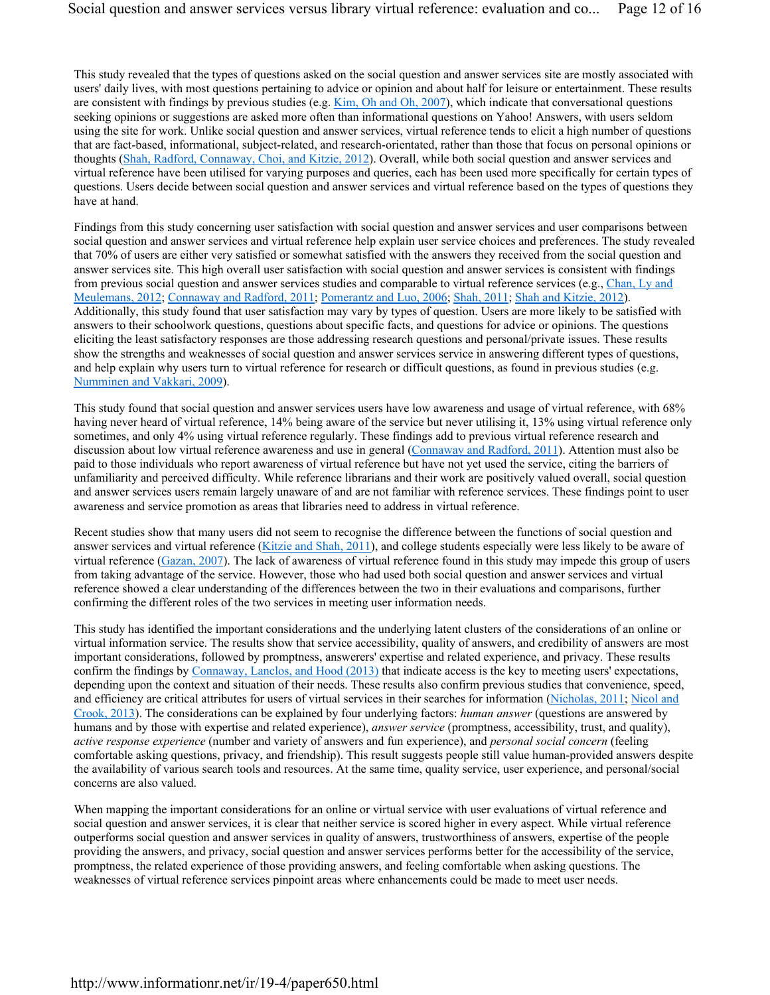This study revealed that the types of questions asked on the social question and answer services site are mostly associated with users' daily lives, with most questions pertaining to advice or opinion and about half for leisure or entertainment. These results are consistent with findings by previous studies (e.g. Kim, Oh and Oh, 2007), which indicate that conversational questions seeking opinions or suggestions are asked more often than informational questions on Yahoo! Answers, with users seldom using the site for work. Unlike social question and answer services, virtual reference tends to elicit a high number of questions that are fact-based, informational, subject-related, and research-orientated, rather than those that focus on personal opinions or thoughts (Shah, Radford, Connaway, Choi, and Kitzie, 2012). Overall, while both social question and answer services and virtual reference have been utilised for varying purposes and queries, each has been used more specifically for certain types of questions. Users decide between social question and answer services and virtual reference based on the types of questions they have at hand.

Findings from this study concerning user satisfaction with social question and answer services and user comparisons between social question and answer services and virtual reference help explain user service choices and preferences. The study revealed that 70% of users are either very satisfied or somewhat satisfied with the answers they received from the social question and answer services site. This high overall user satisfaction with social question and answer services is consistent with findings from previous social question and answer services studies and comparable to virtual reference services (e.g., Chan, Ly and Meulemans, 2012; Connaway and Radford, 2011; Pomerantz and Luo, 2006; Shah, 2011; Shah and Kitzie, 2012). Additionally, this study found that user satisfaction may vary by types of question. Users are more likely to be satisfied with answers to their schoolwork questions, questions about specific facts, and questions for advice or opinions. The questions eliciting the least satisfactory responses are those addressing research questions and personal/private issues. These results show the strengths and weaknesses of social question and answer services service in answering different types of questions, and help explain why users turn to virtual reference for research or difficult questions, as found in previous studies (e.g. Numminen and Vakkari, 2009).

This study found that social question and answer services users have low awareness and usage of virtual reference, with 68% having never heard of virtual reference, 14% being aware of the service but never utilising it, 13% using virtual reference only sometimes, and only 4% using virtual reference regularly. These findings add to previous virtual reference research and discussion about low virtual reference awareness and use in general (Connaway and Radford, 2011). Attention must also be paid to those individuals who report awareness of virtual reference but have not yet used the service, citing the barriers of unfamiliarity and perceived difficulty. While reference librarians and their work are positively valued overall, social question and answer services users remain largely unaware of and are not familiar with reference services. These findings point to user awareness and service promotion as areas that libraries need to address in virtual reference.

Recent studies show that many users did not seem to recognise the difference between the functions of social question and answer services and virtual reference (Kitzie and Shah, 2011), and college students especially were less likely to be aware of virtual reference (Gazan, 2007). The lack of awareness of virtual reference found in this study may impede this group of users from taking advantage of the service. However, those who had used both social question and answer services and virtual reference showed a clear understanding of the differences between the two in their evaluations and comparisons, further confirming the different roles of the two services in meeting user information needs.

This study has identified the important considerations and the underlying latent clusters of the considerations of an online or virtual information service. The results show that service accessibility, quality of answers, and credibility of answers are most important considerations, followed by promptness, answerers' expertise and related experience, and privacy. These results confirm the findings by Connaway, Lanclos, and Hood (2013) that indicate access is the key to meeting users' expectations, depending upon the context and situation of their needs. These results also confirm previous studies that convenience, speed, and efficiency are critical attributes for users of virtual services in their searches for information (Nicholas, 2011; Nicol and Crook, 2013). The considerations can be explained by four underlying factors: *human answer* (questions are answered by humans and by those with expertise and related experience), *answer service* (promptness, accessibility, trust, and quality), *active response experience* (number and variety of answers and fun experience), and *personal social concern* (feeling comfortable asking questions, privacy, and friendship). This result suggests people still value human-provided answers despite the availability of various search tools and resources. At the same time, quality service, user experience, and personal/social concerns are also valued.

When mapping the important considerations for an online or virtual service with user evaluations of virtual reference and social question and answer services, it is clear that neither service is scored higher in every aspect. While virtual reference outperforms social question and answer services in quality of answers, trustworthiness of answers, expertise of the people providing the answers, and privacy, social question and answer services performs better for the accessibility of the service, promptness, the related experience of those providing answers, and feeling comfortable when asking questions. The weaknesses of virtual reference services pinpoint areas where enhancements could be made to meet user needs.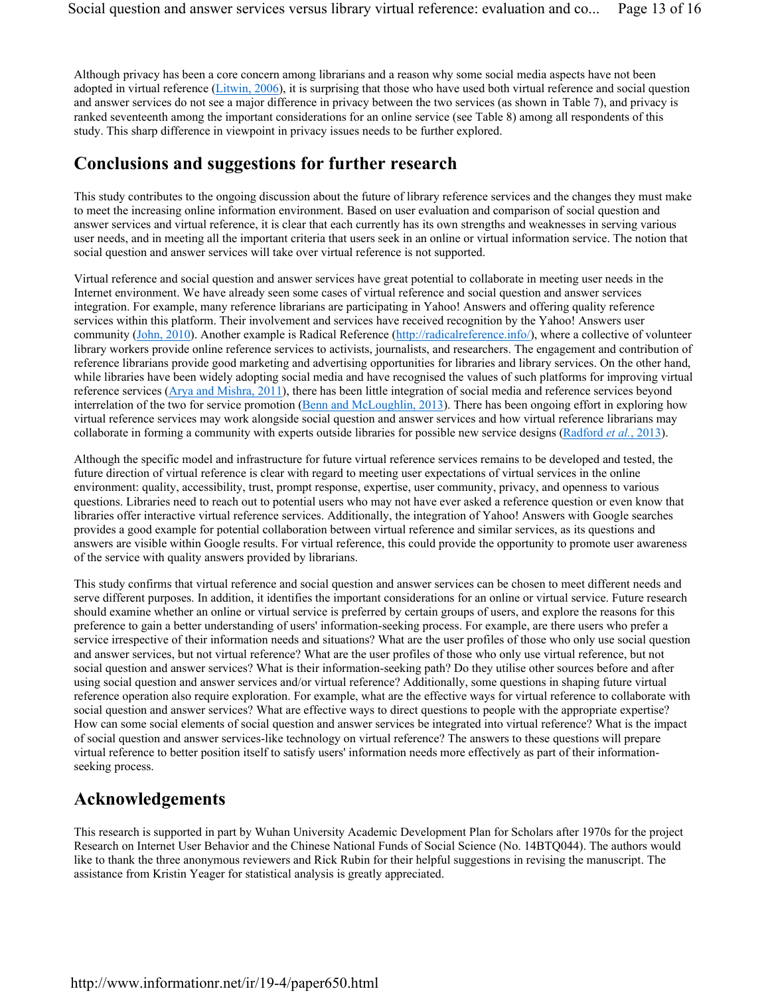Although privacy has been a core concern among librarians and a reason why some social media aspects have not been adopted in virtual reference (Litwin, 2006), it is surprising that those who have used both virtual reference and social question and answer services do not see a major difference in privacy between the two services (as shown in Table 7), and privacy is ranked seventeenth among the important considerations for an online service (see Table 8) among all respondents of this study. This sharp difference in viewpoint in privacy issues needs to be further explored.

### **Conclusions and suggestions for further research**

This study contributes to the ongoing discussion about the future of library reference services and the changes they must make to meet the increasing online information environment. Based on user evaluation and comparison of social question and answer services and virtual reference, it is clear that each currently has its own strengths and weaknesses in serving various user needs, and in meeting all the important criteria that users seek in an online or virtual information service. The notion that social question and answer services will take over virtual reference is not supported.

Virtual reference and social question and answer services have great potential to collaborate in meeting user needs in the Internet environment. We have already seen some cases of virtual reference and social question and answer services integration. For example, many reference librarians are participating in Yahoo! Answers and offering quality reference services within this platform. Their involvement and services have received recognition by the Yahoo! Answers user community (John, 2010). Another example is Radical Reference (http://radicalreference.info/), where a collective of volunteer library workers provide online reference services to activists, journalists, and researchers. The engagement and contribution of reference librarians provide good marketing and advertising opportunities for libraries and library services. On the other hand, while libraries have been widely adopting social media and have recognised the values of such platforms for improving virtual reference services (Arya and Mishra, 2011), there has been little integration of social media and reference services beyond interrelation of the two for service promotion (Benn and McLoughlin, 2013). There has been ongoing effort in exploring how virtual reference services may work alongside social question and answer services and how virtual reference librarians may collaborate in forming a community with experts outside libraries for possible new service designs (Radford *et al.*, 2013).

Although the specific model and infrastructure for future virtual reference services remains to be developed and tested, the future direction of virtual reference is clear with regard to meeting user expectations of virtual services in the online environment: quality, accessibility, trust, prompt response, expertise, user community, privacy, and openness to various questions. Libraries need to reach out to potential users who may not have ever asked a reference question or even know that libraries offer interactive virtual reference services. Additionally, the integration of Yahoo! Answers with Google searches provides a good example for potential collaboration between virtual reference and similar services, as its questions and answers are visible within Google results. For virtual reference, this could provide the opportunity to promote user awareness of the service with quality answers provided by librarians.

This study confirms that virtual reference and social question and answer services can be chosen to meet different needs and serve different purposes. In addition, it identifies the important considerations for an online or virtual service. Future research should examine whether an online or virtual service is preferred by certain groups of users, and explore the reasons for this preference to gain a better understanding of users' information-seeking process. For example, are there users who prefer a service irrespective of their information needs and situations? What are the user profiles of those who only use social question and answer services, but not virtual reference? What are the user profiles of those who only use virtual reference, but not social question and answer services? What is their information-seeking path? Do they utilise other sources before and after using social question and answer services and/or virtual reference? Additionally, some questions in shaping future virtual reference operation also require exploration. For example, what are the effective ways for virtual reference to collaborate with social question and answer services? What are effective ways to direct questions to people with the appropriate expertise? How can some social elements of social question and answer services be integrated into virtual reference? What is the impact of social question and answer services-like technology on virtual reference? The answers to these questions will prepare virtual reference to better position itself to satisfy users' information needs more effectively as part of their informationseeking process.

### **Acknowledgements**

This research is supported in part by Wuhan University Academic Development Plan for Scholars after 1970s for the project Research on Internet User Behavior and the Chinese National Funds of Social Science (No. 14BTQ044). The authors would like to thank the three anonymous reviewers and Rick Rubin for their helpful suggestions in revising the manuscript. The assistance from Kristin Yeager for statistical analysis is greatly appreciated.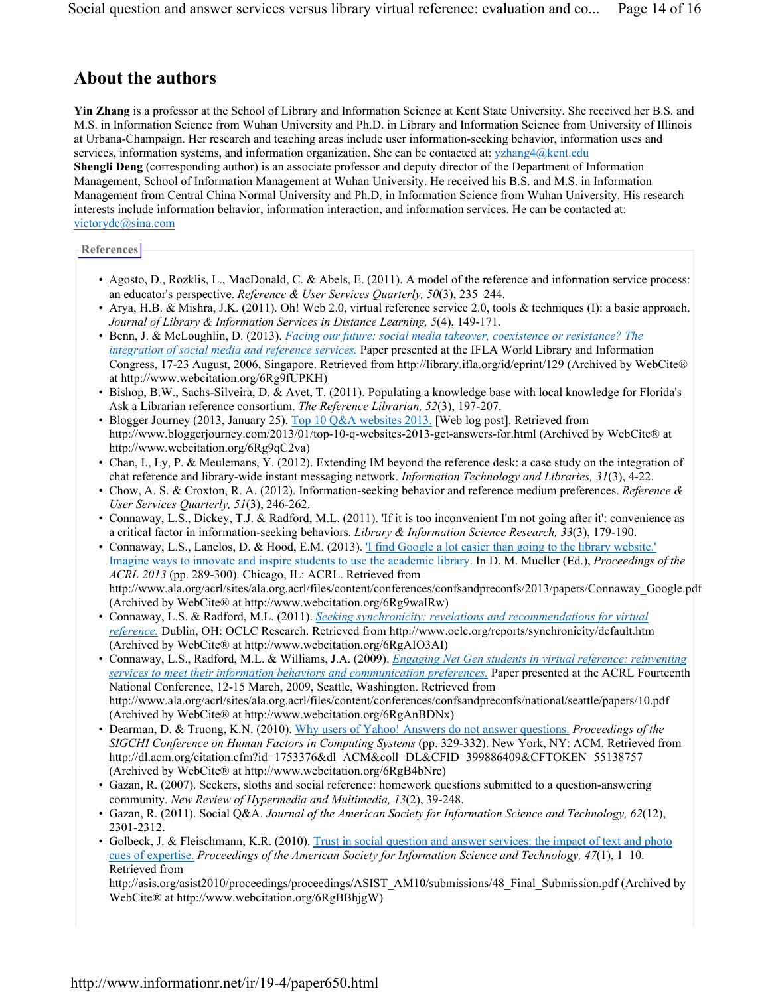# **About the authors**

**Yin Zhang** is a professor at the School of Library and Information Science at Kent State University. She received her B.S. and M.S. in Information Science from Wuhan University and Ph.D. in Library and Information Science from University of Illinois at Urbana-Champaign. Her research and teaching areas include user information-seeking behavior, information uses and services, information systems, and information organization. She can be contacted at: yzhang4@kent.edu

**Shengli Deng** (corresponding author) is an associate professor and deputy director of the Department of Information Management, School of Information Management at Wuhan University. He received his B.S. and M.S. in Information Management from Central China Normal University and Ph.D. in Information Science from Wuhan University. His research interests include information behavior, information interaction, and information services. He can be contacted at: victorydc@sina.com

### **References**

- Agosto, D., Rozklis, L., MacDonald, C. & Abels, E. (2011). A model of the reference and information service process: an educator's perspective. *Reference & User Services Quarterly, 50*(3), 235–244.
- Arya, H.B. & Mishra, J.K. (2011). Oh! Web 2.0, virtual reference service 2.0, tools & techniques (I): a basic approach. *Journal of Library & Information Services in Distance Learning, 5*(4), 149-171.
- Benn, J. & McLoughlin, D. (2013). *Facing our future: social media takeover, coexistence or resistance? The integration of social media and reference services.* Paper presented at the IFLA World Library and Information Congress, 17-23 August, 2006, Singapore. Retrieved from http://library.ifla.org/id/eprint/129 (Archived by WebCite® at http://www.webcitation.org/6Rg9fUPKH)
- Bishop, B.W., Sachs-Silveira, D. & Avet, T. (2011). Populating a knowledge base with local knowledge for Florida's Ask a Librarian reference consortium. *The Reference Librarian, 52*(3), 197-207.
- Blogger Journey (2013, January 25). Top 10 Q&A websites 2013. [Web log post]. Retrieved from http://www.bloggerjourney.com/2013/01/top-10-q-websites-2013-get-answers-for.html (Archived by WebCite® at http://www.webcitation.org/6Rg9qC2va)
- Chan, I., Ly, P. & Meulemans, Y. (2012). Extending IM beyond the reference desk: a case study on the integration of chat reference and library-wide instant messaging network. *Information Technology and Libraries, 31*(3), 4-22.
- Chow, A. S. & Croxton, R. A. (2012). Information-seeking behavior and reference medium preferences. *Reference & User Services Quarterly, 51*(3), 246-262.
- Connaway, L.S., Dickey, T.J. & Radford, M.L. (2011). 'If it is too inconvenient I'm not going after it': convenience as a critical factor in information-seeking behaviors. *Library & Information Science Research, 33*(3), 179-190.
- Connaway, L.S., Lanclos, D. & Hood, E.M. (2013). 'I find Google a lot easier than going to the library website.' Imagine ways to innovate and inspire students to use the academic library. In D. M. Mueller (Ed.), *Proceedings of the ACRL 2013* (pp. 289-300). Chicago, IL: ACRL. Retrieved from http://www.ala.org/acrl/sites/ala.org.acrl/files/content/conferences/confsandpreconfs/2013/papers/Connaway\_Google.pdf (Archived by WebCite® at http://www.webcitation.org/6Rg9waIRw)
- Connaway, L.S. & Radford, M.L. (2011). *Seeking synchronicity: revelations and recommendations for virtual reference.* Dublin, OH: OCLC Research. Retrieved from http://www.oclc.org/reports/synchronicity/default.htm (Archived by WebCite® at http://www.webcitation.org/6RgAIO3AI)
- Connaway, L.S., Radford, M.L. & Williams, J.A. (2009). *Engaging Net Gen students in virtual reference: reinventing services to meet their information behaviors and communication preferences.* Paper presented at the ACRL Fourteenth National Conference, 12-15 March, 2009, Seattle, Washington. Retrieved from http://www.ala.org/acrl/sites/ala.org.acrl/files/content/conferences/confsandpreconfs/national/seattle/papers/10.pdf (Archived by WebCite® at http://www.webcitation.org/6RgAnBDNx)
- Dearman, D. & Truong, K.N. (2010). Why users of Yahoo! Answers do not answer questions. *Proceedings of the SIGCHI Conference on Human Factors in Computing Systems* (pp. 329-332). New York, NY: ACM. Retrieved from http://dl.acm.org/citation.cfm?id=1753376&dl=ACM&coll=DL&CFID=399886409&CFTOKEN=55138757 (Archived by WebCite® at http://www.webcitation.org/6RgB4bNrc)
- Gazan, R. (2007). Seekers, sloths and social reference: homework questions submitted to a question-answering community. *New Review of Hypermedia and Multimedia, 13*(2), 39-248.
- Gazan, R. (2011). Social Q&A. *Journal of the American Society for Information Science and Technology, 62*(12), 2301-2312.
- Golbeck, J. & Fleischmann, K.R. (2010). Trust in social question and answer services: the impact of text and photo cues of expertise. *Proceedings of the American Society for Information Science and Technology, 47*(1), 1–10. Retrieved from

http://asis.org/asist2010/proceedings/proceedings/ASIST\_AM10/submissions/48\_Final\_Submission.pdf (Archived by WebCite® at http://www.webcitation.org/6RgBBhjgW)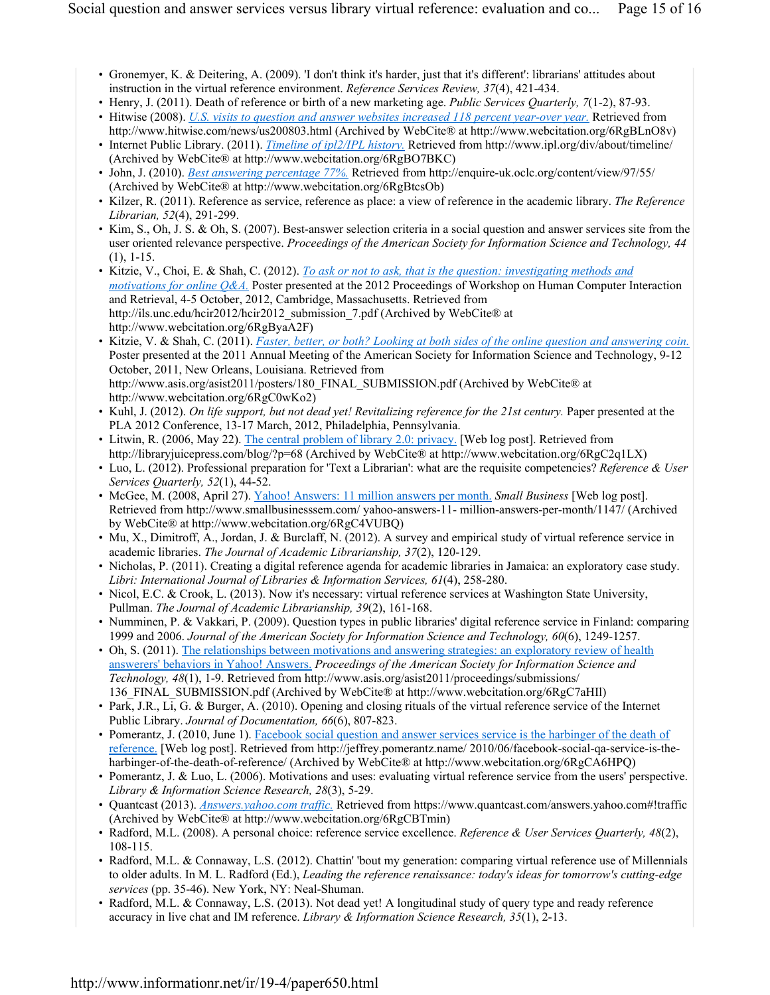- Gronemyer, K. & Deitering, A. (2009). 'I don't think it's harder, just that it's different': librarians' attitudes about instruction in the virtual reference environment. *Reference Services Review, 37*(4), 421-434.
- Henry, J. (2011). Death of reference or birth of a new marketing age. *Public Services Quarterly, 7*(1-2), 87-93.
- Hitwise (2008). *U.S. visits to question and answer websites increased 118 percent year-over year.* Retrieved from http://www.hitwise.com/news/us200803.html (Archived by WebCite® at http://www.webcitation.org/6RgBLnO8v)
- Internet Public Library. (2011). *Timeline of ipl2/IPL history.* Retrieved from http://www.ipl.org/div/about/timeline/ (Archived by WebCite® at http://www.webcitation.org/6RgBO7BKC)
- John, J. (2010). *Best answering percentage 77%.* Retrieved from http://enquire-uk.oclc.org/content/view/97/55/ (Archived by WebCite® at http://www.webcitation.org/6RgBtcsOb)
- Kilzer, R. (2011). Reference as service, reference as place: a view of reference in the academic library. *The Reference Librarian, 52*(4), 291-299.
- Kim, S., Oh, J. S. & Oh, S. (2007). Best-answer selection criteria in a social question and answer services site from the user oriented relevance perspective. *Proceedings of the American Society for Information Science and Technology, 44* (1), 1-15.
- Kitzie, V., Choi, E. & Shah, C. (2012). *To ask or not to ask, that is the question: investigating methods and motivations for online Q&A.* Poster presented at the 2012 Proceedings of Workshop on Human Computer Interaction and Retrieval, 4-5 October, 2012, Cambridge, Massachusetts. Retrieved from http://ils.unc.edu/hcir2012/hcir2012\_submission\_7.pdf (Archived by WebCite® at http://www.webcitation.org/6RgByaA2F)
- Kitzie, V. & Shah, C. (2011). *Faster, better, or both? Looking at both sides of the online question and answering coin.* Poster presented at the 2011 Annual Meeting of the American Society for Information Science and Technology, 9-12 October, 2011, New Orleans, Louisiana. Retrieved from http://www.asis.org/asist2011/posters/180\_FINAL\_SUBMISSION.pdf (Archived by WebCite® at http://www.webcitation.org/6RgC0wKo2)
- Kuhl, J. (2012). *On life support, but not dead yet! Revitalizing reference for the 21st century.* Paper presented at the PLA 2012 Conference, 13-17 March, 2012, Philadelphia, Pennsylvania.
- Litwin, R. (2006, May 22). The central problem of library 2.0: privacy. [Web log post]. Retrieved from http://libraryjuicepress.com/blog/?p=68 (Archived by WebCite® at http://www.webcitation.org/6RgC2q1LX)
- Luo, L. (2012). Professional preparation for 'Text a Librarian': what are the requisite competencies? *Reference & User Services Quarterly, 52*(1), 44-52.
- McGee, M. (2008, April 27). Yahoo! Answers: 11 million answers per month. *Small Business* [Web log post]. Retrieved from http://www.smallbusinesssem.com/ yahoo-answers-11- million-answers-per-month/1147/ (Archived by WebCite® at http://www.webcitation.org/6RgC4VUBQ)
- Mu, X., Dimitroff, A., Jordan, J. & Burclaff, N. (2012). A survey and empirical study of virtual reference service in academic libraries. *The Journal of Academic Librarianship, 37*(2), 120-129.
- Nicholas, P. (2011). Creating a digital reference agenda for academic libraries in Jamaica: an exploratory case study. *Libri: International Journal of Libraries & Information Services, 61*(4), 258-280.
- Nicol, E.C. & Crook, L. (2013). Now it's necessary: virtual reference services at Washington State University, Pullman. *The Journal of Academic Librarianship, 39*(2), 161-168.
- Numminen, P. & Vakkari, P. (2009). Question types in public libraries' digital reference service in Finland: comparing 1999 and 2006. *Journal of the American Society for Information Science and Technology, 60*(6), 1249-1257.
- Oh, S. (2011). The relationships between motivations and answering strategies: an exploratory review of health answerers' behaviors in Yahoo! Answers. *Proceedings of the American Society for Information Science and Technology, 48*(1), 1-9. Retrieved from http://www.asis.org/asist2011/proceedings/submissions/ 136\_FINAL\_SUBMISSION.pdf (Archived by WebCite® at http://www.webcitation.org/6RgC7aHIl)
- Park, J.R., Li, G. & Burger, A. (2010). Opening and closing rituals of the virtual reference service of the Internet Public Library. *Journal of Documentation, 66*(6), 807-823.
- Pomerantz, J. (2010, June 1). Facebook social question and answer services service is the harbinger of the death of reference. [Web log post]. Retrieved from http://jeffrey.pomerantz.name/ 2010/06/facebook-social-qa-service-is-theharbinger-of-the-death-of-reference/ (Archived by WebCite® at http://www.webcitation.org/6RgCA6HPQ)
- Pomerantz, J. & Luo, L. (2006). Motivations and uses: evaluating virtual reference service from the users' perspective. *Library & Information Science Research, 28*(3), 5-29.
- Quantcast (2013). *Answers.yahoo.com traffic.* Retrieved from https://www.quantcast.com/answers.yahoo.com#!traffic (Archived by WebCite® at http://www.webcitation.org/6RgCBTmin)
- Radford, M.L. (2008). A personal choice: reference service excellence. *Reference & User Services Quarterly, 48*(2), 108-115.
- Radford, M.L. & Connaway, L.S. (2012). Chattin' 'bout my generation: comparing virtual reference use of Millennials to older adults. In M. L. Radford (Ed.), *Leading the reference renaissance: today's ideas for tomorrow's cutting-edge services* (pp. 35-46). New York, NY: Neal-Shuman.
- Radford, M.L. & Connaway, L.S. (2013). Not dead yet! A longitudinal study of query type and ready reference accuracy in live chat and IM reference. *Library & Information Science Research, 35*(1), 2-13.